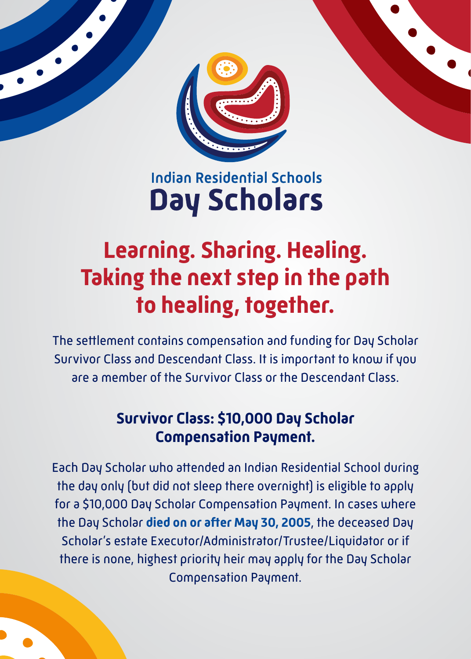

## **Indian Residential Schools Day Scholars**

## **Learning. Sharing. Healing. Taking the next step in the path to healing, together.**

The settlement contains compensation and funding for Day Scholar Survivor Class and Descendant Class. It is important to know if you are a member of the Survivor Class or the Descendant Class.

## **Survivor Class: \$10,000 Day Scholar Compensation Payment.**

Each Day Scholar who attended an Indian Residential School during the day only (but did not sleep there overnight) is eligible to apply for a \$10,000 Day Scholar Compensation Payment. In cases where the Day Scholar **died on or after May 30, 2005**, the deceased Day Scholar's estate Executor/Administrator/Trustee/Liquidator or if there is none, highest priority heir may apply for the Day Scholar Compensation Payment.